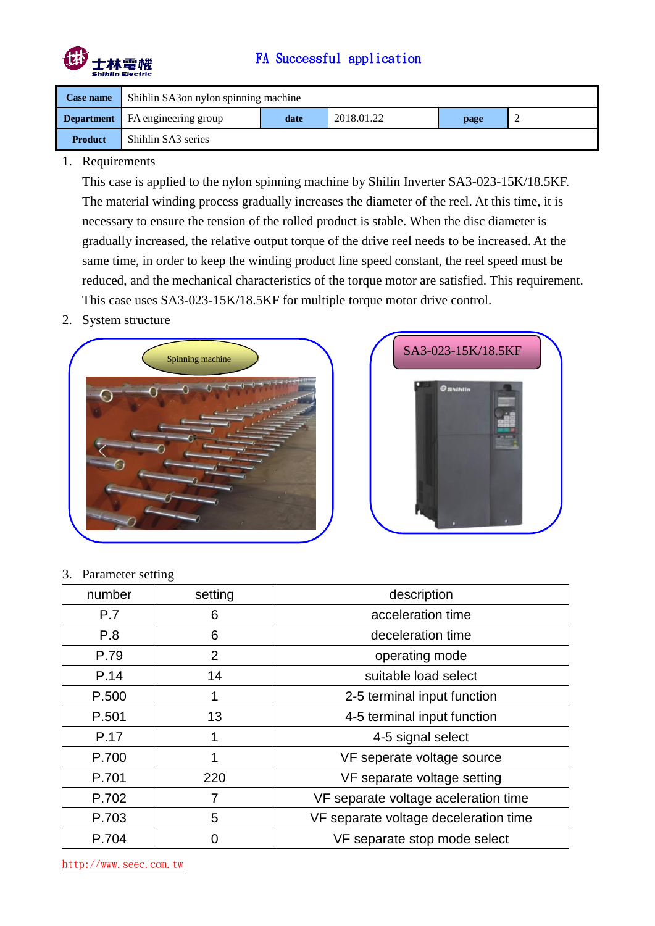

# FA Successful application

| Case name      | Shihlin SA3 on nylon spinning machine    |      |            |      |   |
|----------------|------------------------------------------|------|------------|------|---|
|                | <b>Department</b>   FA engineering group | date | 2018.01.22 | page | ∼ |
| <b>Product</b> | Shihlin SA3 series                       |      |            |      |   |

### 1. Requirements

This case is applied to the nylon spinning machine by Shilin Inverter SA3-023-15K/18.5KF. The material winding process gradually increases the diameter of the reel. At this time, it is necessary to ensure the tension of the rolled product is stable. When the disc diameter is gradually increased, the relative output torque of the drive reel needs to be increased. At the same time, in order to keep the winding product line speed constant, the reel speed must be reduced, and the mechanical characteristics of the torque motor are satisfied. This requirement. This case uses SA3-023-15K/18.5KF for multiple torque motor drive control.

2. System structure





3. Parameter setting

| number | setting        | description                           |
|--------|----------------|---------------------------------------|
| P.7    | 6              | acceleration time                     |
| P.8    | 6              | deceleration time                     |
| P.79   | $\overline{2}$ | operating mode                        |
| P.14   | 14             | suitable load select                  |
| P.500  | 1              | 2-5 terminal input function           |
| P.501  | 13             | 4-5 terminal input function           |
| P.17   | 1              | 4-5 signal select                     |
| P.700  | 1              | VF seperate voltage source            |
| P.701  | 220            | VF separate voltage setting           |
| P.702  | $\overline{7}$ | VF separate voltage aceleration time  |
| P.703  | 5              | VF separate voltage deceleration time |
| P.704  | ი              | VF separate stop mode select          |